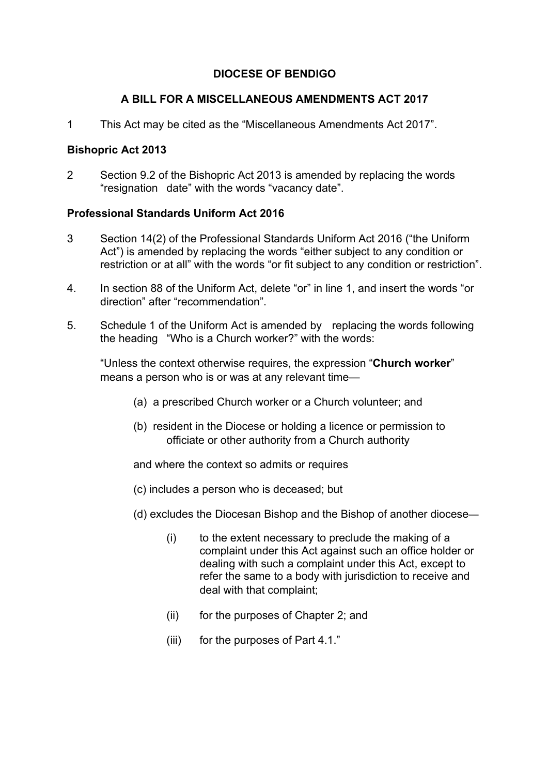## **DIOCESE OF BENDIGO**

### **A BILL FOR A MISCELLANEOUS AMENDMENTS ACT 2017**

1 This Act may be cited as the "Miscellaneous Amendments Act 2017".

### **Bishopric Act 2013**

2 Section 9.2 of the Bishopric Act 2013 is amended by replacing the words "resignation date" with the words "vacancy date".

#### **Professional Standards Uniform Act 2016**

- 3 Section 14(2) of the Professional Standards Uniform Act 2016 ("the Uniform Act") is amended by replacing the words "either subject to any condition or restriction or at all" with the words "or fit subject to any condition or restriction".
- 4. In section 88 of the Uniform Act, delete "or" in line 1, and insert the words "or direction" after "recommendation".
- 5. Schedule 1 of the Uniform Act is amended by replacing the words following the heading "Who is a Church worker?" with the words:

"Unless the context otherwise requires, the expression "**Church worker**" means a person who is or was at any relevant time—

- (a) a prescribed Church worker or a Church volunteer; and
- (b) resident in the Diocese or holding a licence or permission to officiate or other authority from a Church authority

and where the context so admits or requires

- (c) includes a person who is deceased; but
- (d) excludes the Diocesan Bishop and the Bishop of another diocese—
	- (i) to the extent necessary to preclude the making of a complaint under this Act against such an office holder or dealing with such a complaint under this Act, except to refer the same to a body with jurisdiction to receive and deal with that complaint;
	- (ii) for the purposes of Chapter 2; and
	- (iii) for the purposes of Part 4.1."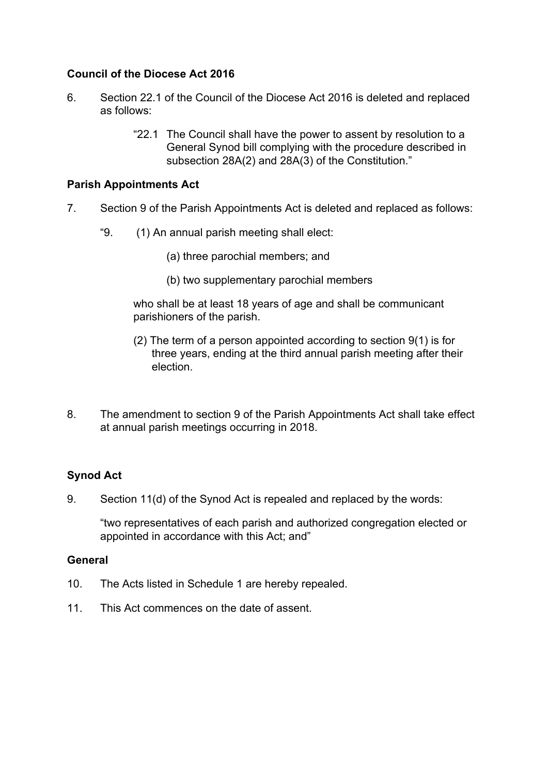# **Council of the Diocese Act 2016**

- 6. Section 22.1 of the Council of the Diocese Act 2016 is deleted and replaced as follows:
	- "22.1 The Council shall have the power to assent by resolution to a General Synod bill complying with the procedure described in subsection 28A(2) and 28A(3) of the Constitution."

## **Parish Appointments Act**

- 7. Section 9 of the Parish Appointments Act is deleted and replaced as follows:
	- "9. (1) An annual parish meeting shall elect:
		- (a) three parochial members; and
		- (b) two supplementary parochial members

who shall be at least 18 years of age and shall be communicant parishioners of the parish.

- (2) The term of a person appointed according to section 9(1) is for three years, ending at the third annual parish meeting after their election.
- 8. The amendment to section 9 of the Parish Appointments Act shall take effect at annual parish meetings occurring in 2018.

# **Synod Act**

9. Section 11(d) of the Synod Act is repealed and replaced by the words:

"two representatives of each parish and authorized congregation elected or appointed in accordance with this Act; and"

### **General**

- 10. The Acts listed in Schedule 1 are hereby repealed.
- 11. This Act commences on the date of assent.